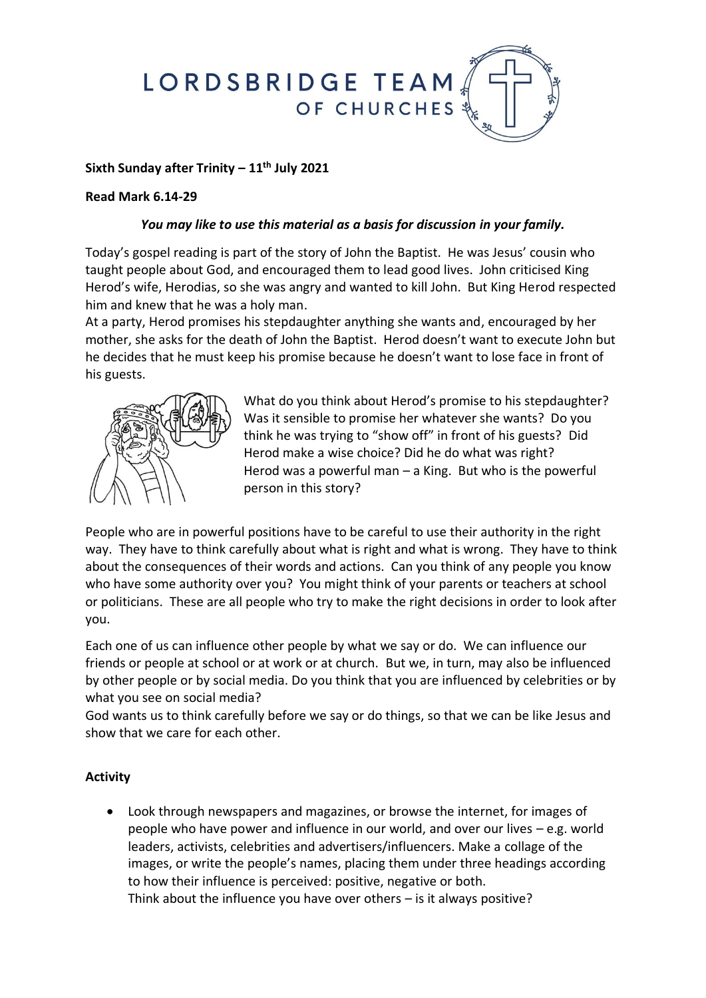

# **Sixth Sunday after Trinity – 11th July 2021**

# **Read Mark 6.14-29**

### *You may like to use this material as a basis for discussion in your family.*

Today's gospel reading is part of the story of John the Baptist. He was Jesus' cousin who taught people about God, and encouraged them to lead good lives. John criticised King Herod's wife, Herodias, so she was angry and wanted to kill John. But King Herod respected him and knew that he was a holy man.

At a party, Herod promises his stepdaughter anything she wants and, encouraged by her mother, she asks for the death of John the Baptist. Herod doesn't want to execute John but he decides that he must keep his promise because he doesn't want to lose face in front of his guests.



What do you think about Herod's promise to his stepdaughter? Was it sensible to promise her whatever she wants? Do you think he was trying to "show off" in front of his guests? Did Herod make a wise choice? Did he do what was right? Herod was a powerful man  $-$  a King. But who is the powerful person in this story?

People who are in powerful positions have to be careful to use their authority in the right way. They have to think carefully about what is right and what is wrong. They have to think about the consequences of their words and actions. Can you think of any people you know who have some authority over you? You might think of your parents or teachers at school or politicians. These are all people who try to make the right decisions in order to look after you.

Each one of us can influence other people by what we say or do. We can influence our friends or people at school or at work or at church. But we, in turn, may also be influenced by other people or by social media. Do you think that you are influenced by celebrities or by what you see on social media?

God wants us to think carefully before we say or do things, so that we can be like Jesus and show that we care for each other.

# **Activity**

• Look through newspapers and magazines, or browse the internet, for images of people who have power and influence in our world, and over our lives – e.g. world leaders, activists, celebrities and advertisers/influencers. Make a collage of the images, or write the people's names, placing them under three headings according to how their influence is perceived: positive, negative or both. Think about the influence you have over others – is it always positive?